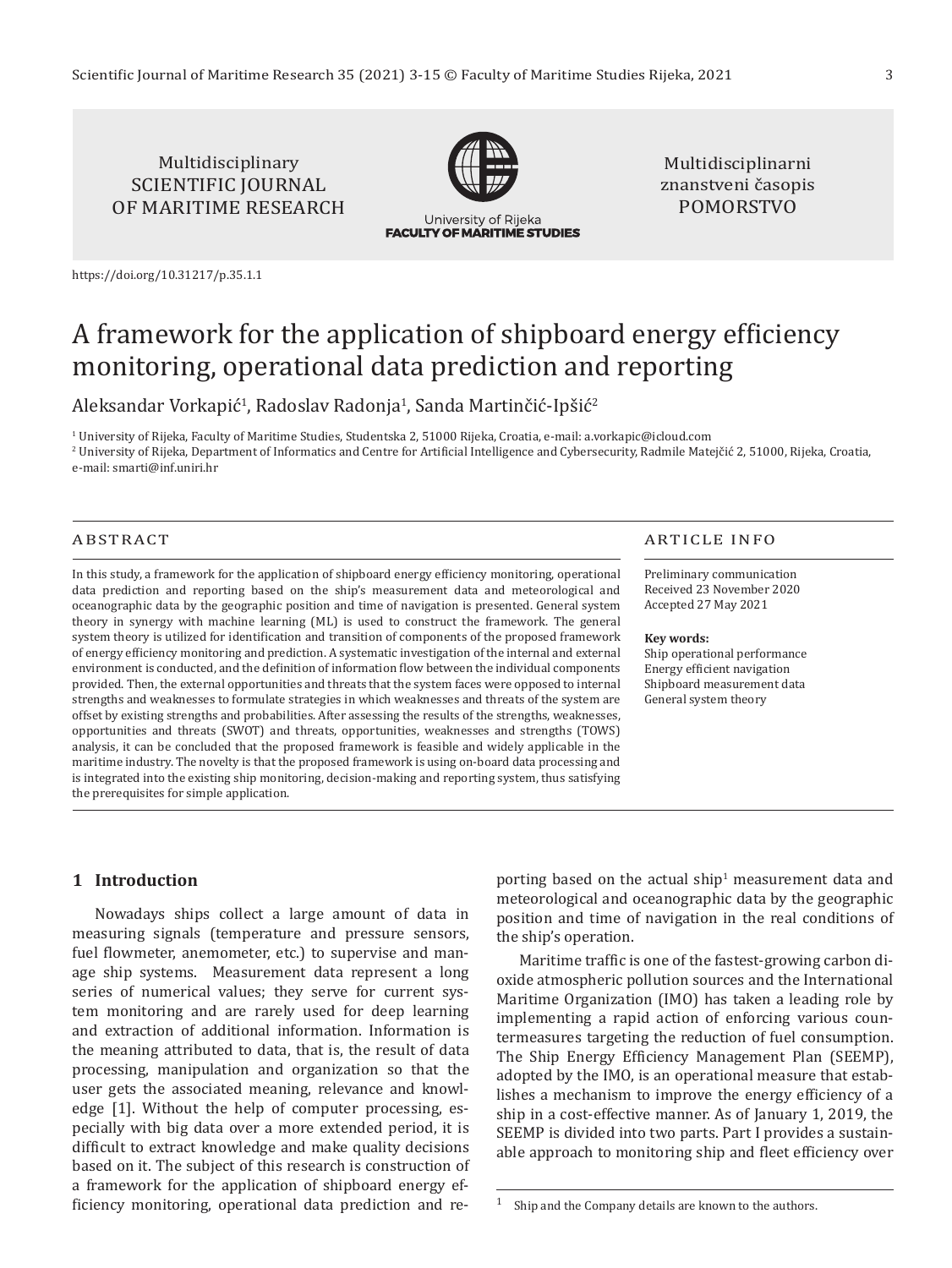## Multidisciplinary SCIENTIFIC JOURNAL OF MARITIME RESEARCH



University of Rijeka **FACULTY OF MARITIME STUDIES** 

Multidisciplinarni znanstveni časopis POMORSTVO

<https://doi.org/10.31217/p.35.1.1>

# A framework for the application of shipboard energy efficiency monitoring, operational data prediction and reporting

Aleksandar Vorkapić<sup>1</sup>, Radoslav Radonja<sup>1</sup>, Sanda Martinčić-Ipšić<sup>2</sup>

1 University of Rijeka, Faculty of Maritime Studies, Studentska 2, 51000 Rijeka, Croatia, e-mail: [a.vorkapic@icloud.com](mailto:a.vorkapic@icloud.com)  2 University of Rijeka, Department of Informatics and Centre for Artificial Intelligence and Cybersecurity, Radmile Matejčić 2, 51000, Rijeka, Croatia, e-mail: [smarti@inf.uniri.hr](mailto:smarti@inf.uniri.hr) 

#### ABSTRACT

In this study, a framework for the application of shipboard energy efficiency monitoring, operational data prediction and reporting based on the ship's measurement data and meteorological and oceanographic data by the geographic position and time of navigation is presented. General system theory in synergy with machine learning (ML) is used to construct the framework. The general system theory is utilized for identification and transition of components of the proposed framework of energy efficiency monitoring and prediction. A systematic investigation of the internal and external environment is conducted, and the definition of information flow between the individual components provided. Then, the external opportunities and threats that the system faces were opposed to internal strengths and weaknesses to formulate strategies in which weaknesses and threats of the system are offset by existing strengths and probabilities. After assessing the results of the strengths, weaknesses, opportunities and threats (SWOT) and threats, opportunities, weaknesses and strengths (TOWS) analysis, it can be concluded that the proposed framework is feasible and widely applicable in the maritime industry. The novelty is that the proposed framework is using on-board data processing and is integrated into the existing ship monitoring, decision-making and reporting system, thus satisfying the prerequisites for simple application.

#### ARTICLE INFO

Preliminary communication Received 23 November 2020 Accepted 27 May 2021

#### **Key words:**

Ship operational performance Energy efficient navigation Shipboard measurement data General system theory

### **1 Introduction**

Nowadays ships collect a large amount of data in measuring signals (temperature and pressure sensors, fuel flowmeter, anemometer, etc.) to supervise and manage ship systems. Measurement data represent a long series of numerical values; they serve for current system monitoring and are rarely used for deep learning and extraction of additional information. Information is the meaning attributed to data, that is, the result of data processing, manipulation and organization so that the user gets the associated meaning, relevance and knowledge [1]. Without the help of computer processing, especially with big data over a more extended period, it is difficult to extract knowledge and make quality decisions based on it. The subject of this research is construction of a framework for the application of shipboard energy efficiency monitoring, operational data prediction and re-

porting based on the actual ship $^1$  measurement data and meteorological and oceanographic data by the geographic position and time of navigation in the real conditions of the ship's operation.

Maritime traffic is one of the fastest-growing carbon dioxide atmospheric pollution sources and the International Maritime Organization (IMO) has taken a leading role by implementing a rapid action of enforcing various countermeasures targeting the reduction of fuel consumption. The Ship Energy Efficiency Management Plan (SEEMP), adopted by the IMO, is an operational measure that establishes a mechanism to improve the energy efficiency of a ship in a cost-effective manner. As of January 1, 2019, the SEEMP is divided into two parts. Part I provides a sustainable approach to monitoring ship and fleet efficiency over

 $1$  Ship and the Company details are known to the authors.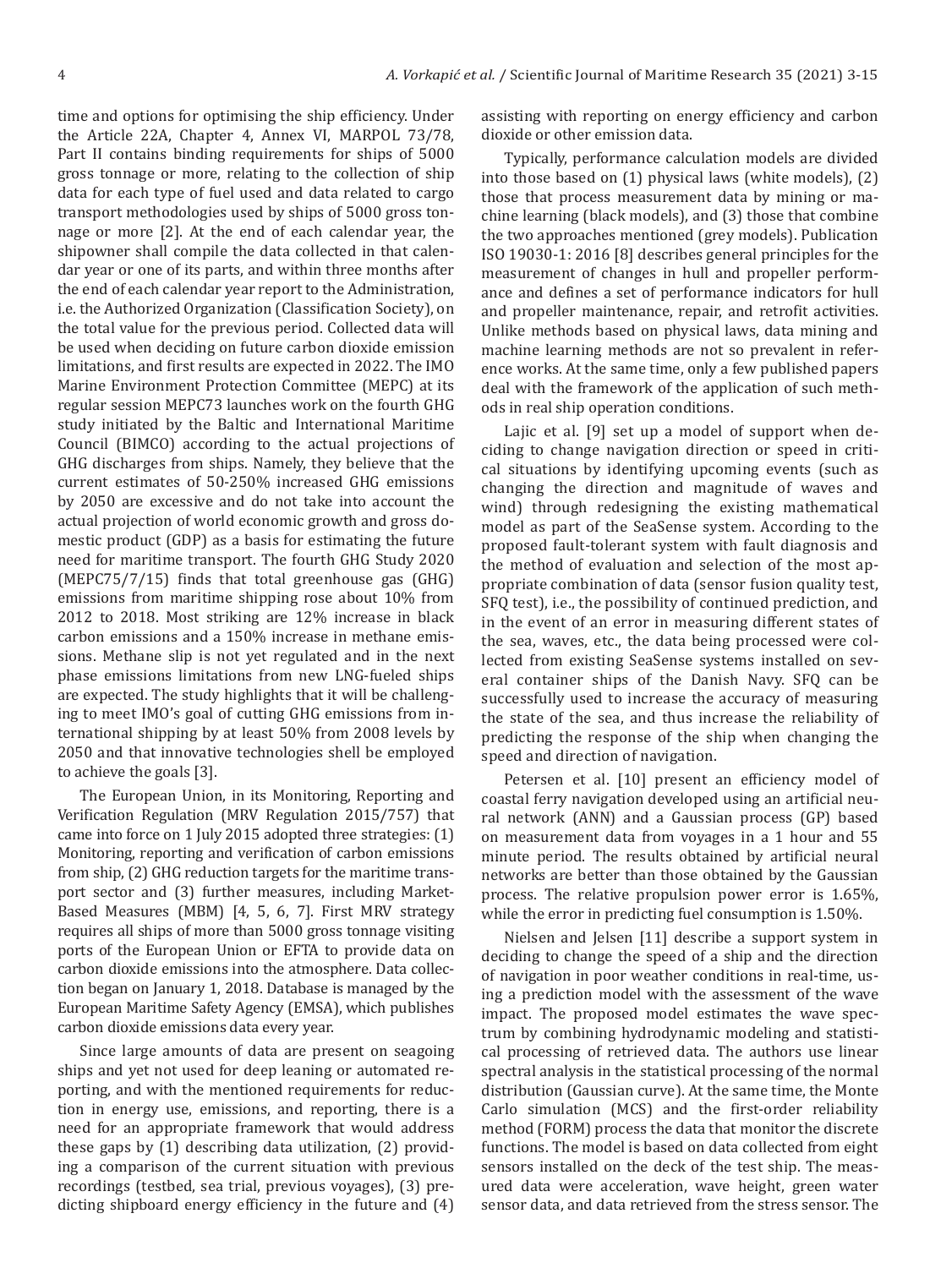time and options for optimising the ship efficiency. Under the Article 22A, Chapter 4, Annex VI, MARPOL 73/78, Part II contains binding requirements for ships of 5000 gross tonnage or more, relating to the collection of ship data for each type of fuel used and data related to cargo transport methodologies used by ships of 5000 gross tonnage or more [2]. At the end of each calendar year, the shipowner shall compile the data collected in that calendar year or one of its parts, and within three months after the end of each calendar year report to the Administration, i.e. the Authorized Organization (Classification Society), on the total value for the previous period. Collected data will be used when deciding on future carbon dioxide emission limitations, and first results are expected in 2022. The IMO Marine Environment Protection Committee (MEPC) at its regular session MEPC73 launches work on the fourth GHG study initiated by the Baltic and International Maritime Council (BIMCO) according to the actual projections of GHG discharges from ships. Namely, they believe that the current estimates of 50-250% increased GHG emissions by 2050 are excessive and do not take into account the actual projection of world economic growth and gross domestic product (GDP) as a basis for estimating the future need for maritime transport. The fourth GHG Study 2020 (MEPC75/7/15) finds that total greenhouse gas (GHG) emissions from maritime shipping rose about 10% from 2012 to 2018. Most striking are 12% increase in black carbon emissions and a 150% increase in methane emissions. Methane slip is not yet regulated and in the next phase emissions limitations from new LNG-fueled ships are expected. The study highlights that it will be challenging to meet IMO's goal of cutting GHG emissions from international shipping by at least 50% from 2008 levels by 2050 and that innovative technologies shell be employed to achieve the goals [3].

The European Union, in its Monitoring, Reporting and Verification Regulation (MRV Regulation 2015/757) that came into force on 1 July 2015 adopted three strategies: (1) Monitoring, reporting and verification of carbon emissions from ship, (2) GHG reduction targets for the maritime transport sector and (3) further measures, including Market-Based Measures (MBM) [4, 5, 6, 7]. First MRV strategy requires all ships of more than 5000 gross tonnage visiting ports of the European Union or EFTA to provide data on carbon dioxide emissions into the atmosphere. Data collection began on January 1, 2018. Database is managed by the European Maritime Safety Agency (EMSA), which publishes carbon dioxide emissions data every year.

Since large amounts of data are present on seagoing ships and yet not used for deep leaning or automated reporting, and with the mentioned requirements for reduction in energy use, emissions, and reporting, there is a need for an appropriate framework that would address these gaps by (1) describing data utilization, (2) providing a comparison of the current situation with previous recordings (testbed, sea trial, previous voyages), (3) predicting shipboard energy efficiency in the future and (4) assisting with reporting on energy efficiency and carbon dioxide or other emission data.

Typically, performance calculation models are divided into those based on (1) physical laws (white models), (2) those that process measurement data by mining or machine learning (black models), and (3) those that combine the two approaches mentioned (grey models). Publication ISO 19030-1: 2016 [8] describes general principles for the measurement of changes in hull and propeller performance and defines a set of performance indicators for hull and propeller maintenance, repair, and retrofit activities. Unlike methods based on physical laws, data mining and machine learning methods are not so prevalent in reference works. At the same time, only a few published papers deal with the framework of the application of such methods in real ship operation conditions.

Lajic et al. [9] set up a model of support when deciding to change navigation direction or speed in critical situations by identifying upcoming events (such as changing the direction and magnitude of waves and wind) through redesigning the existing mathematical model as part of the SeaSense system. According to the proposed fault-tolerant system with fault diagnosis and the method of evaluation and selection of the most appropriate combination of data (sensor fusion quality test, SFQ test), i.e., the possibility of continued prediction, and in the event of an error in measuring different states of the sea, waves, etc., the data being processed were collected from existing SeaSense systems installed on several container ships of the Danish Navy. SFQ can be successfully used to increase the accuracy of measuring the state of the sea, and thus increase the reliability of predicting the response of the ship when changing the speed and direction of navigation.

Petersen et al. [10] present an efficiency model of coastal ferry navigation developed using an artificial neural network (ANN) and a Gaussian process (GP) based on measurement data from voyages in a 1 hour and 55 minute period. The results obtained by artificial neural networks are better than those obtained by the Gaussian process. The relative propulsion power error is 1.65%, while the error in predicting fuel consumption is 1.50%.

Nielsen and Jelsen [11] describe a support system in deciding to change the speed of a ship and the direction of navigation in poor weather conditions in real-time, using a prediction model with the assessment of the wave impact. The proposed model estimates the wave spectrum by combining hydrodynamic modeling and statistical processing of retrieved data. The authors use linear spectral analysis in the statistical processing of the normal distribution (Gaussian curve). At the same time, the Monte Carlo simulation (MCS) and the first-order reliability method (FORM) process the data that monitor the discrete functions. The model is based on data collected from eight sensors installed on the deck of the test ship. The measured data were acceleration, wave height, green water sensor data, and data retrieved from the stress sensor. The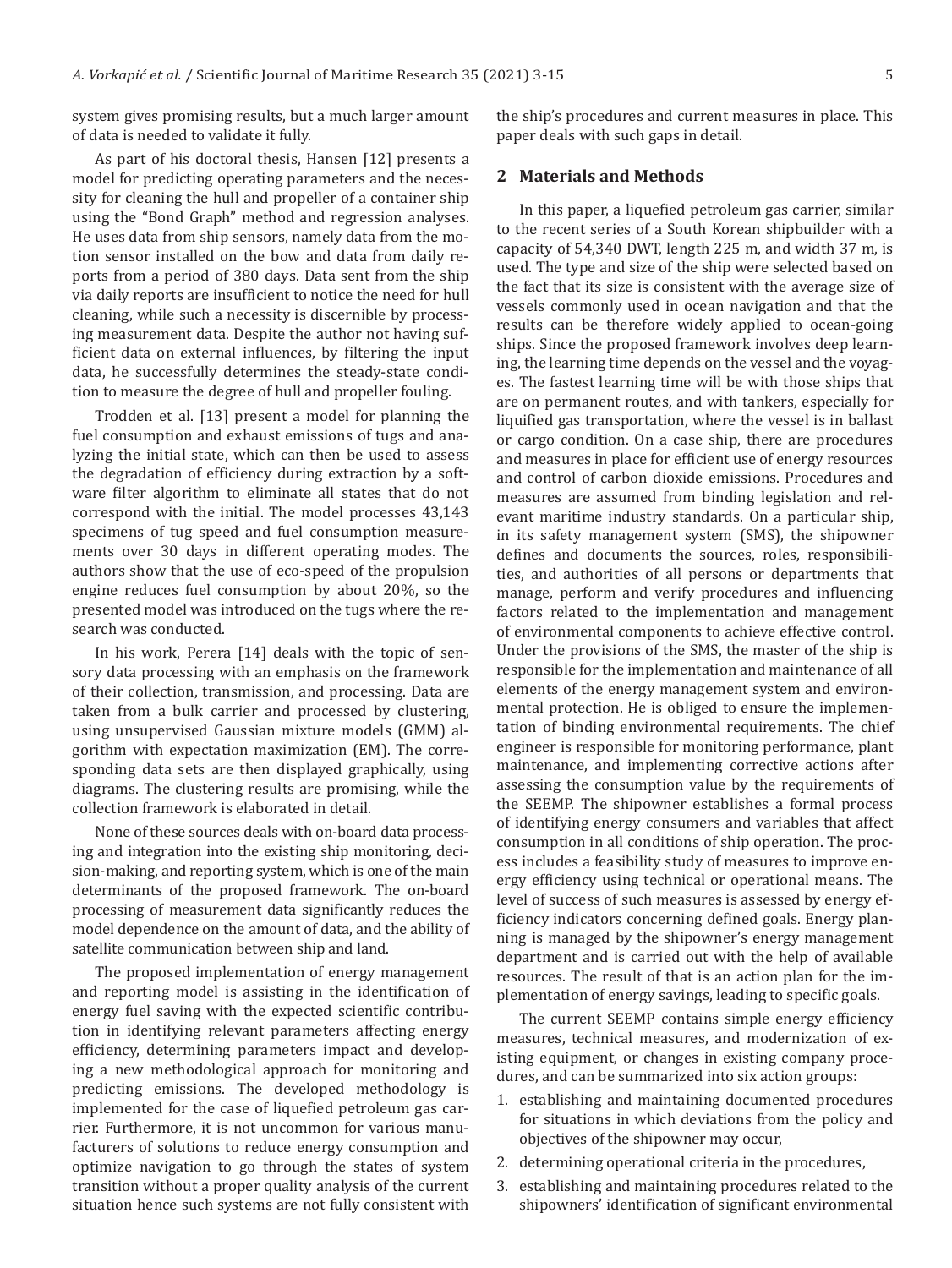system gives promising results, but a much larger amount of data is needed to validate it fully.

As part of his doctoral thesis, Hansen [12] presents a model for predicting operating parameters and the necessity for cleaning the hull and propeller of a container ship using the "Bond Graph" method and regression analyses. He uses data from ship sensors, namely data from the motion sensor installed on the bow and data from daily reports from a period of 380 days. Data sent from the ship via daily reports are insufficient to notice the need for hull cleaning, while such a necessity is discernible by processing measurement data. Despite the author not having sufficient data on external influences, by filtering the input data, he successfully determines the steady-state condition to measure the degree of hull and propeller fouling.

Trodden et al. [13] present a model for planning the fuel consumption and exhaust emissions of tugs and analyzing the initial state, which can then be used to assess the degradation of efficiency during extraction by a software filter algorithm to eliminate all states that do not correspond with the initial. The model processes 43,143 specimens of tug speed and fuel consumption measurements over 30 days in different operating modes. The authors show that the use of eco-speed of the propulsion engine reduces fuel consumption by about 20%, so the presented model was introduced on the tugs where the research was conducted.

In his work, Perera [14] deals with the topic of sensory data processing with an emphasis on the framework of their collection, transmission, and processing. Data are taken from a bulk carrier and processed by clustering, using unsupervised Gaussian mixture models (GMM) algorithm with expectation maximization (EM). The corresponding data sets are then displayed graphically, using diagrams. The clustering results are promising, while the collection framework is elaborated in detail.

None of these sources deals with on-board data processing and integration into the existing ship monitoring, decision-making, and reporting system, which is one of the main determinants of the proposed framework. The on-board processing of measurement data significantly reduces the model dependence on the amount of data, and the ability of satellite communication between ship and land.

The proposed implementation of energy management and reporting model is assisting in the identification of energy fuel saving with the expected scientific contribution in identifying relevant parameters affecting energy efficiency, determining parameters impact and developing a new methodological approach for monitoring and predicting emissions. The developed methodology is implemented for the case of liquefied petroleum gas carrier. Furthermore, it is not uncommon for various manufacturers of solutions to reduce energy consumption and optimize navigation to go through the states of system transition without a proper quality analysis of the current situation hence such systems are not fully consistent with

the ship's procedures and current measures in place. This paper deals with such gaps in detail.

#### **2 Materials and Methods**

In this paper, a liquefied petroleum gas carrier, similar to the recent series of a South Korean shipbuilder with a capacity of 54,340 DWT, length 225 m, and width 37 m, is used. The type and size of the ship were selected based on the fact that its size is consistent with the average size of vessels commonly used in ocean navigation and that the results can be therefore widely applied to ocean-going ships. Since the proposed framework involves deep learning, the learning time depends on the vessel and the voyages. The fastest learning time will be with those ships that are on permanent routes, and with tankers, especially for liquified gas transportation, where the vessel is in ballast or cargo condition. On a case ship, there are procedures and measures in place for efficient use of energy resources and control of carbon dioxide emissions. Procedures and measures are assumed from binding legislation and relevant maritime industry standards. On a particular ship, in its safety management system (SMS), the shipowner defines and documents the sources, roles, responsibilities, and authorities of all persons or departments that manage, perform and verify procedures and influencing factors related to the implementation and management of environmental components to achieve effective control. Under the provisions of the SMS, the master of the ship is responsible for the implementation and maintenance of all elements of the energy management system and environmental protection. He is obliged to ensure the implementation of binding environmental requirements. The chief engineer is responsible for monitoring performance, plant maintenance, and implementing corrective actions after assessing the consumption value by the requirements of the SEEMP. The shipowner establishes a formal process of identifying energy consumers and variables that affect consumption in all conditions of ship operation. The process includes a feasibility study of measures to improve energy efficiency using technical or operational means. The level of success of such measures is assessed by energy efficiency indicators concerning defined goals. Energy planning is managed by the shipowner's energy management department and is carried out with the help of available resources. The result of that is an action plan for the implementation of energy savings, leading to specific goals.

The current SEEMP contains simple energy efficiency measures, technical measures, and modernization of existing equipment, or changes in existing company procedures, and can be summarized into six action groups:

- 1. establishing and maintaining documented procedures for situations in which deviations from the policy and objectives of the shipowner may occur,
- 2. determining operational criteria in the procedures,
- 3. establishing and maintaining procedures related to the shipowners' identification of significant environmental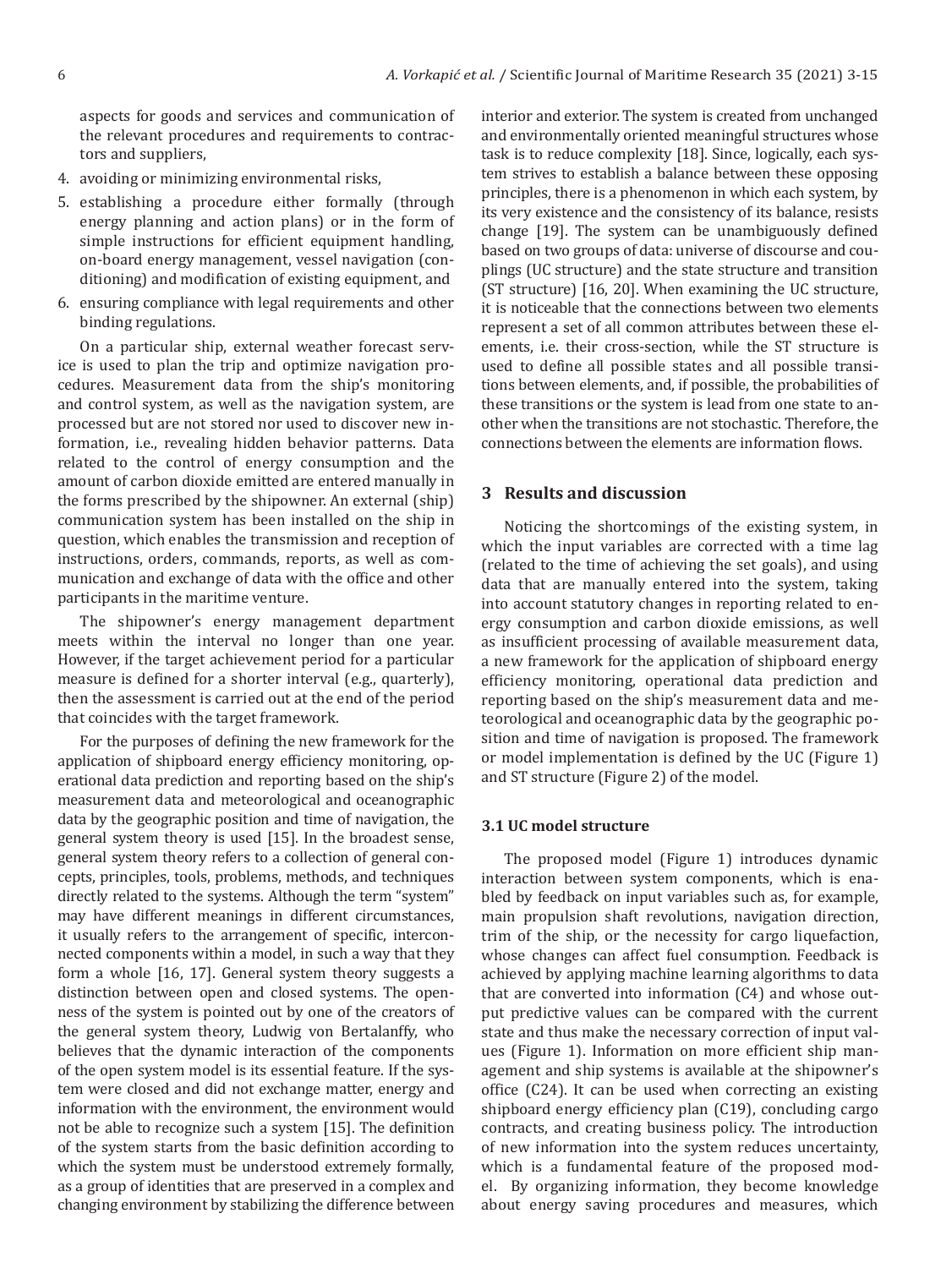aspects for goods and services and communication of the relevant procedures and requirements to contractors and suppliers,

- 4. avoiding or minimizing environmental risks,
- 5. establishing a procedure either formally (through energy planning and action plans) or in the form of simple instructions for efficient equipment handling, on-board energy management, vessel navigation (conditioning) and modification of existing equipment, and
- 6. ensuring compliance with legal requirements and other binding regulations.

On a particular ship, external weather forecast service is used to plan the trip and optimize navigation procedures. Measurement data from the ship's monitoring and control system, as well as the navigation system, are processed but are not stored nor used to discover new information, i.e., revealing hidden behavior patterns. Data related to the control of energy consumption and the amount of carbon dioxide emitted are entered manually in the forms prescribed by the shipowner. An external (ship) communication system has been installed on the ship in question, which enables the transmission and reception of instructions, orders, commands, reports, as well as communication and exchange of data with the office and other participants in the maritime venture.

The shipowner's energy management department meets within the interval no longer than one year. However, if the target achievement period for a particular measure is defined for a shorter interval (e.g., quarterly), then the assessment is carried out at the end of the period that coincides with the target framework.

For the purposes of defining the new framework for the application of shipboard energy efficiency monitoring, operational data prediction and reporting based on the ship's measurement data and meteorological and oceanographic data by the geographic position and time of navigation, the general system theory is used [15]. In the broadest sense, general system theory refers to a collection of general concepts, principles, tools, problems, methods, and techniques directly related to the systems. Although the term "system" may have different meanings in different circumstances, it usually refers to the arrangement of specific, interconnected components within a model, in such a way that they form a whole [16, 17]. General system theory suggests a distinction between open and closed systems. The openness of the system is pointed out by one of the creators of the general system theory, Ludwig von Bertalanffy, who believes that the dynamic interaction of the components of the open system model is its essential feature. If the system were closed and did not exchange matter, energy and information with the environment, the environment would not be able to recognize such a system [15]. The definition of the system starts from the basic definition according to which the system must be understood extremely formally, as a group of identities that are preserved in a complex and changing environment by stabilizing the difference between interior and exterior. The system is created from unchanged and environmentally oriented meaningful structures whose task is to reduce complexity [18]. Since, logically, each system strives to establish a balance between these opposing principles, there is a phenomenon in which each system, by its very existence and the consistency of its balance, resists change [19]. The system can be unambiguously defined based on two groups of data: universe of discourse and couplings (UC structure) and the state structure and transition (ST structure) [16, 20]. When examining the UC structure, it is noticeable that the connections between two elements represent a set of all common attributes between these elements, i.e. their cross-section, while the ST structure is used to define all possible states and all possible transitions between elements, and, if possible, the probabilities of these transitions or the system is lead from one state to another when the transitions are not stochastic. Therefore, the connections between the elements are information flows.

#### **3 Results and discussion**

Noticing the shortcomings of the existing system, in which the input variables are corrected with a time lag (related to the time of achieving the set goals), and using data that are manually entered into the system, taking into account statutory changes in reporting related to energy consumption and carbon dioxide emissions, as well as insufficient processing of available measurement data, a new framework for the application of shipboard energy efficiency monitoring, operational data prediction and reporting based on the ship's measurement data and meteorological and oceanographic data by the geographic position and time of navigation is proposed. The framework or model implementation is defined by the UC (Figure 1) and ST structure (Figure 2) of the model.

#### **3.1 UC model structure**

The proposed model (Figure 1) introduces dynamic interaction between system components, which is enabled by feedback on input variables such as, for example, main propulsion shaft revolutions, navigation direction, trim of the ship, or the necessity for cargo liquefaction, whose changes can affect fuel consumption. Feedback is achieved by applying machine learning algorithms to data that are converted into information (C4) and whose output predictive values can be compared with the current state and thus make the necessary correction of input values (Figure 1). Information on more efficient ship management and ship systems is available at the shipowner's office (C24). It can be used when correcting an existing shipboard energy efficiency plan (C19), concluding cargo contracts, and creating business policy. The introduction of new information into the system reduces uncertainty, which is a fundamental feature of the proposed model. By organizing information, they become knowledge about energy saving procedures and measures, which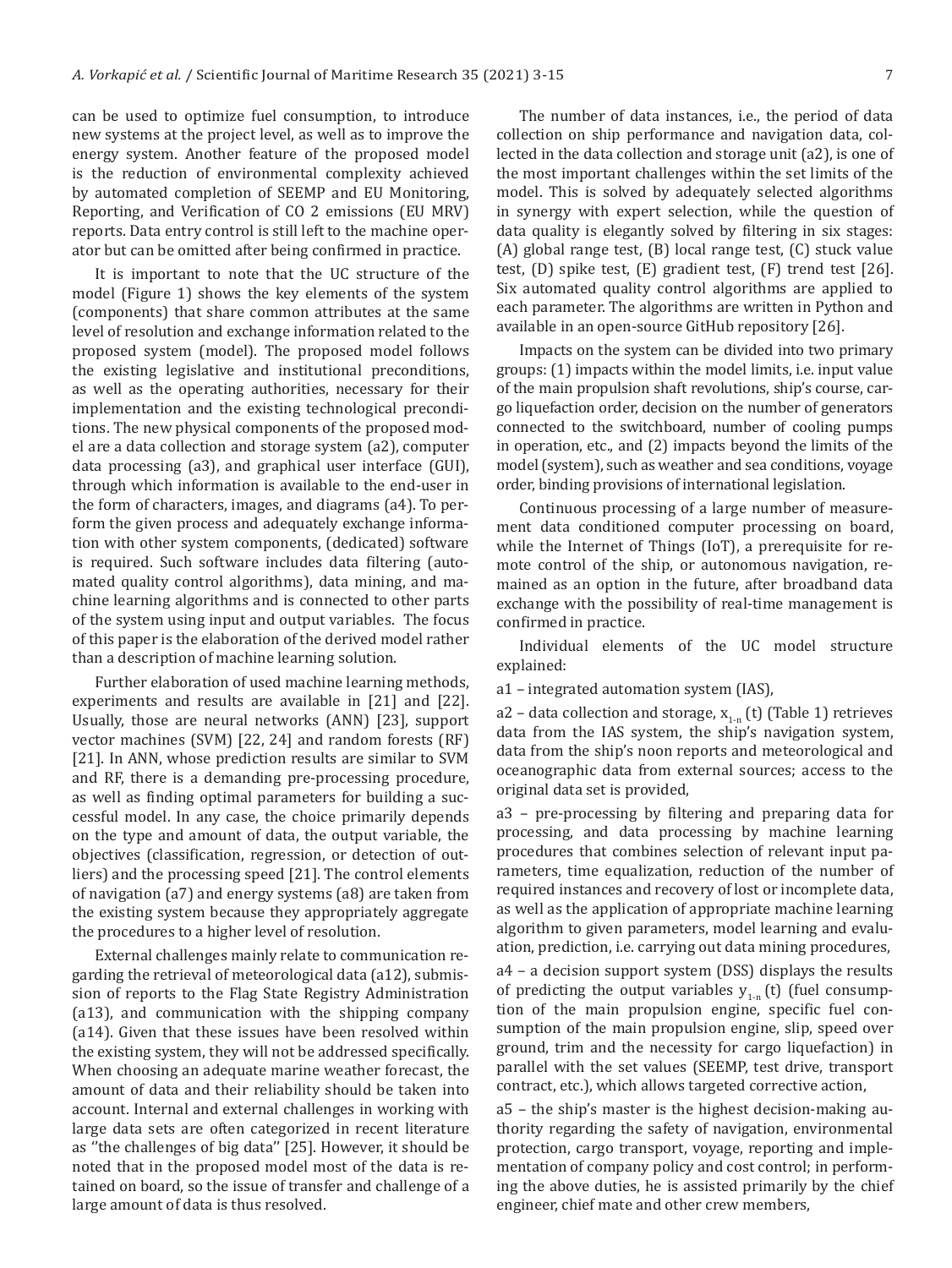can be used to optimize fuel consumption, to introduce new systems at the project level, as well as to improve the energy system. Another feature of the proposed model is the reduction of environmental complexity achieved by automated completion of SEEMP and EU Monitoring, Reporting, and Verification of CO 2 emissions (EU MRV) reports. Data entry control is still left to the machine operator but can be omitted after being confirmed in practice.

It is important to note that the UC structure of the model (Figure 1) shows the key elements of the system (components) that share common attributes at the same level of resolution and exchange information related to the proposed system (model). The proposed model follows the existing legislative and institutional preconditions, as well as the operating authorities, necessary for their implementation and the existing technological preconditions. The new physical components of the proposed model are a data collection and storage system (a2), computer data processing (a3), and graphical user interface (GUI), through which information is available to the end-user in the form of characters, images, and diagrams (a4). To perform the given process and adequately exchange information with other system components, (dedicated) software is required. Such software includes data filtering (automated quality control algorithms), data mining, and machine learning algorithms and is connected to other parts of the system using input and output variables. The focus of this paper is the elaboration of the derived model rather than a description of machine learning solution.

Further elaboration of used machine learning methods, experiments and results are available in [21] and [22]. Usually, those are neural networks (ANN) [23], support vector machines (SVM) [22, 24] and random forests (RF) [21]. In ANN, whose prediction results are similar to SVM and RF, there is a demanding pre-processing procedure, as well as finding optimal parameters for building a successful model. In any case, the choice primarily depends on the type and amount of data, the output variable, the objectives (classification, regression, or detection of outliers) and the processing speed [21]. The control elements of navigation (a7) and energy systems (a8) are taken from the existing system because they appropriately aggregate the procedures to a higher level of resolution.

External challenges mainly relate to communication regarding the retrieval of meteorological data (a12), submission of reports to the Flag State Registry Administration (a13), and communication with the shipping company (a14). Given that these issues have been resolved within the existing system, they will not be addressed specifically. When choosing an adequate marine weather forecast, the amount of data and their reliability should be taken into account. Internal and external challenges in working with large data sets are often categorized in recent literature as ''the challenges of big data'' [25]. However, it should be noted that in the proposed model most of the data is retained on board, so the issue of transfer and challenge of a large amount of data is thus resolved.

The number of data instances, i.e., the period of data collection on ship performance and navigation data, collected in the data collection and storage unit (a2), is one of the most important challenges within the set limits of the model. This is solved by adequately selected algorithms in synergy with expert selection, while the question of data quality is elegantly solved by filtering in six stages: (A) global range test, (B) local range test, (C) stuck value test, (D) spike test, (E) gradient test, (F) trend test [26]. Six automated quality control algorithms are applied to each parameter. The algorithms are written in Python and available in an open-source GitHub repository [26].

Impacts on the system can be divided into two primary groups: (1) impacts within the model limits, i.e. input value of the main propulsion shaft revolutions, ship's course, cargo liquefaction order, decision on the number of generators connected to the switchboard, number of cooling pumps in operation, etc., and (2) impacts beyond the limits of the model (system), such as weather and sea conditions, voyage order, binding provisions of international legislation.

Continuous processing of a large number of measurement data conditioned computer processing on board, while the Internet of Things (IoT), a prerequisite for remote control of the ship, or autonomous navigation, remained as an option in the future, after broadband data exchange with the possibility of real-time management is confirmed in practice.

Individual elements of the UC model structure explained:

a1 – integrated automation system (IAS),

a2 – data collection and storage,  $x_{1-n}$  (t) (Table 1) retrieves data from the IAS system, the ship's navigation system, data from the ship's noon reports and meteorological and oceanographic data from external sources; access to the original data set is provided,

a3 – pre-processing by filtering and preparing data for processing, and data processing by machine learning procedures that combines selection of relevant input parameters, time equalization, reduction of the number of required instances and recovery of lost or incomplete data, as well as the application of appropriate machine learning algorithm to given parameters, model learning and evaluation, prediction, i.e. carrying out data mining procedures,

a4 – a decision support system (DSS) displays the results of predicting the output variables  $y_{1-n}$  (t) (fuel consumption of the main propulsion engine, specific fuel consumption of the main propulsion engine, slip, speed over ground, trim and the necessity for cargo liquefaction) in parallel with the set values (SEEMP, test drive, transport contract, etc.), which allows targeted corrective action,

a5 – the ship's master is the highest decision-making authority regarding the safety of navigation, environmental protection, cargo transport, voyage, reporting and implementation of company policy and cost control; in performing the above duties, he is assisted primarily by the chief engineer, chief mate and other crew members,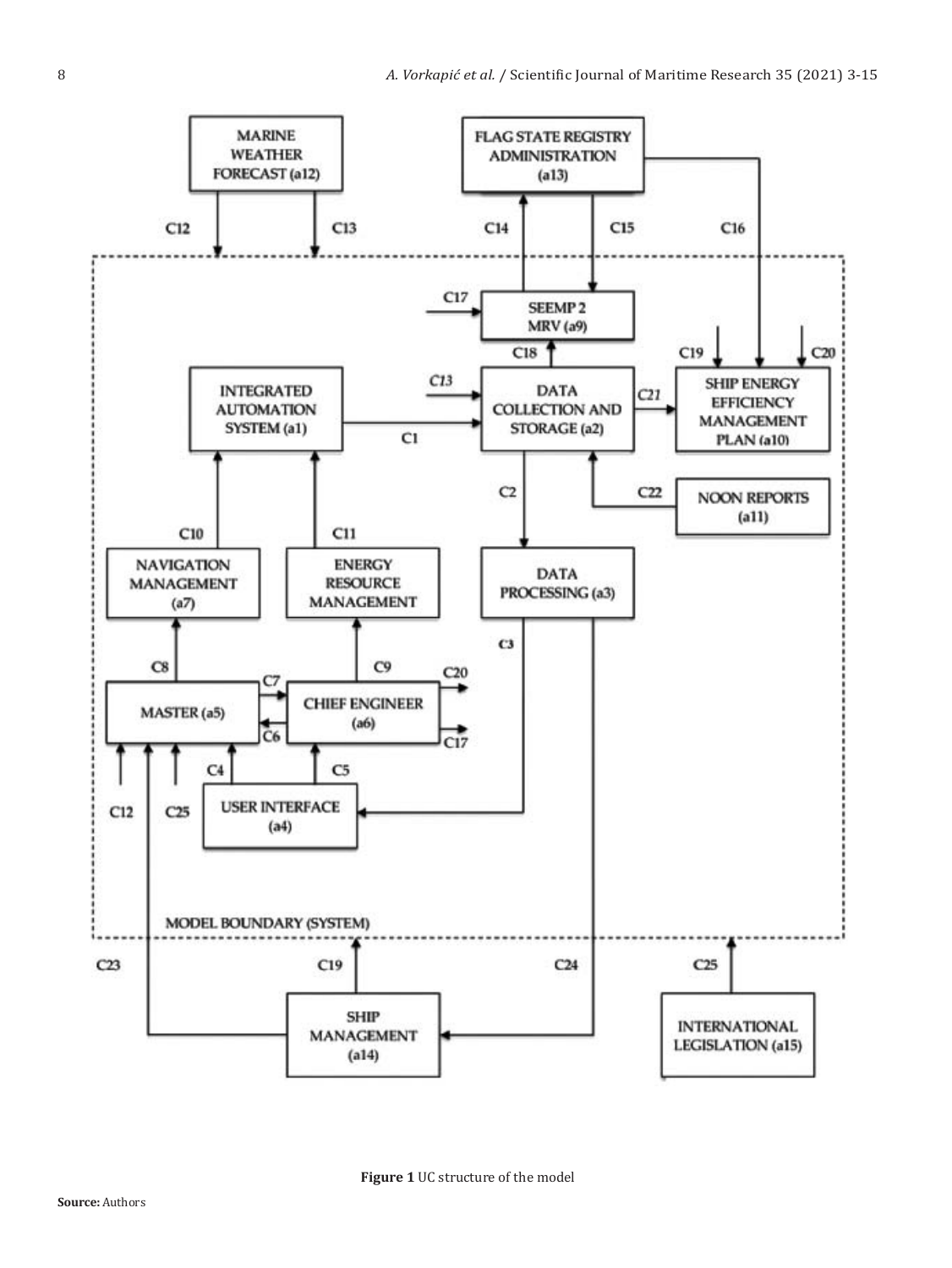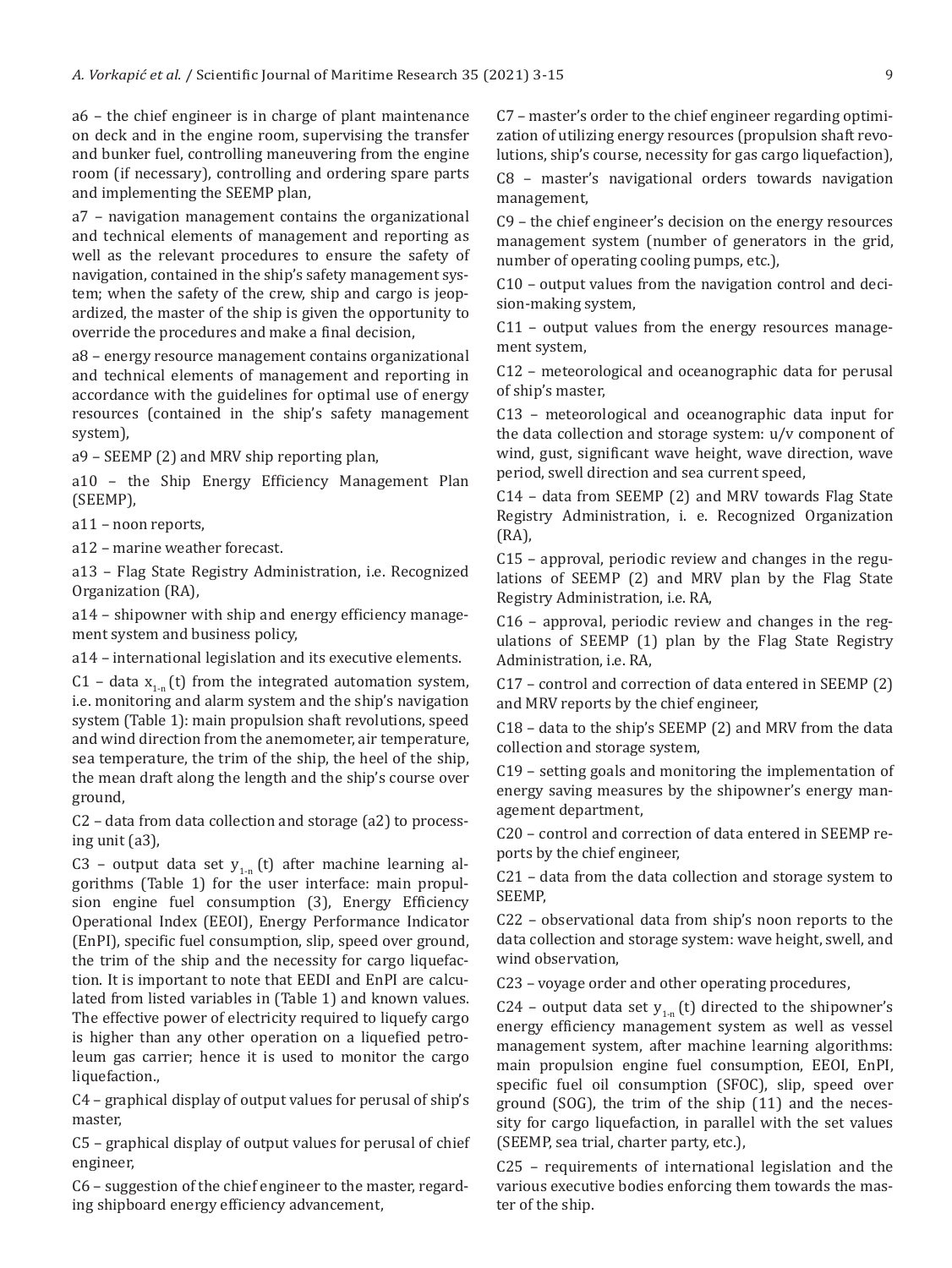a6 – the chief engineer is in charge of plant maintenance on deck and in the engine room, supervising the transfer and bunker fuel, controlling maneuvering from the engine room (if necessary), controlling and ordering spare parts and implementing the SEEMP plan,

a7 – navigation management contains the organizational and technical elements of management and reporting as well as the relevant procedures to ensure the safety of navigation, contained in the ship's safety management system; when the safety of the crew, ship and cargo is jeopardized, the master of the ship is given the opportunity to override the procedures and make a final decision,

a8 – energy resource management contains organizational and technical elements of management and reporting in accordance with the guidelines for optimal use of energy resources (contained in the ship's safety management system),

a9 – SEEMP (2) and MRV ship reporting plan,

a10 – the Ship Energy Efficiency Management Plan (SEEMP),

a11 – noon reports,

a12 – marine weather forecast.

a13 – Flag State Registry Administration, i.e. Recognized Organization (RA),

a14 – shipowner with ship and energy efficiency management system and business policy,

a14 – international legislation and its executive elements.

C1 – data  $x_{1-n}$  (t) from the integrated automation system, i.e. monitoring and alarm system and the ship's navigation system (Table 1): main propulsion shaft revolutions, speed and wind direction from the anemometer, air temperature, sea temperature, the trim of the ship, the heel of the ship, the mean draft along the length and the ship's course over ground,

C2 – data from data collection and storage (a2) to processing unit (a3),

C3 – output data set  $y_{1n}$  (t) after machine learning algorithms (Table 1) for the user interface: main propulsion engine fuel consumption (3), Energy Efficiency Operational Index (EEOI), Energy Performance Indicator (EnPI), specific fuel consumption, slip, speed over ground, the trim of the ship and the necessity for cargo liquefaction. It is important to note that EEDI and EnPI are calculated from listed variables in (Table 1) and known values. The effective power of electricity required to liquefy cargo is higher than any other operation on a liquefied petroleum gas carrier; hence it is used to monitor the cargo liquefaction.,

C4 – graphical display of output values for perusal of ship's master,

C5 – graphical display of output values for perusal of chief engineer,

C6 – suggestion of the chief engineer to the master, regarding shipboard energy efficiency advancement,

C7 – master's order to the chief engineer regarding optimization of utilizing energy resources (propulsion shaft revolutions, ship's course, necessity for gas cargo liquefaction), C8 – master's navigational orders towards navigation management,

C9 – the chief engineer's decision on the energy resources management system (number of generators in the grid, number of operating cooling pumps, etc.),

C10 – output values from the navigation control and decision-making system,

C11 – output values from the energy resources management system,

C12 – meteorological and oceanographic data for perusal of ship's master,

C13 – meteorological and oceanographic data input for the data collection and storage system: u/v component of wind, gust, significant wave height, wave direction, wave period, swell direction and sea current speed,

C14 – data from SEEMP (2) and MRV towards Flag State Registry Administration, i. e. Recognized Organization (RA),

C15 – approval, periodic review and changes in the regulations of SEEMP (2) and MRV plan by the Flag State Registry Administration, i.e. RA,

C16 – approval, periodic review and changes in the regulations of SEEMP (1) plan by the Flag State Registry Administration, i.e. RA,

C17 – control and correction of data entered in SEEMP (2) and MRV reports by the chief engineer,

C18 – data to the ship's SEEMP (2) and MRV from the data collection and storage system,

C19 – setting goals and monitoring the implementation of energy saving measures by the shipowner's energy management department,

C20 – control and correction of data entered in SEEMP reports by the chief engineer,

C21 – data from the data collection and storage system to SEEMP,

C22 – observational data from ship's noon reports to the data collection and storage system: wave height, swell, and wind observation,

C23 – voyage order and other operating procedures,

C24 – output data set  $y_{1-n}$  (t) directed to the shipowner's energy efficiency management system as well as vessel management system, after machine learning algorithms: main propulsion engine fuel consumption, EEOI, EnPI, specific fuel oil consumption (SFOC), slip, speed over ground (SOG), the trim of the ship (11) and the necessity for cargo liquefaction, in parallel with the set values (SEEMP, sea trial, charter party, etc.),

C25 – requirements of international legislation and the various executive bodies enforcing them towards the master of the ship.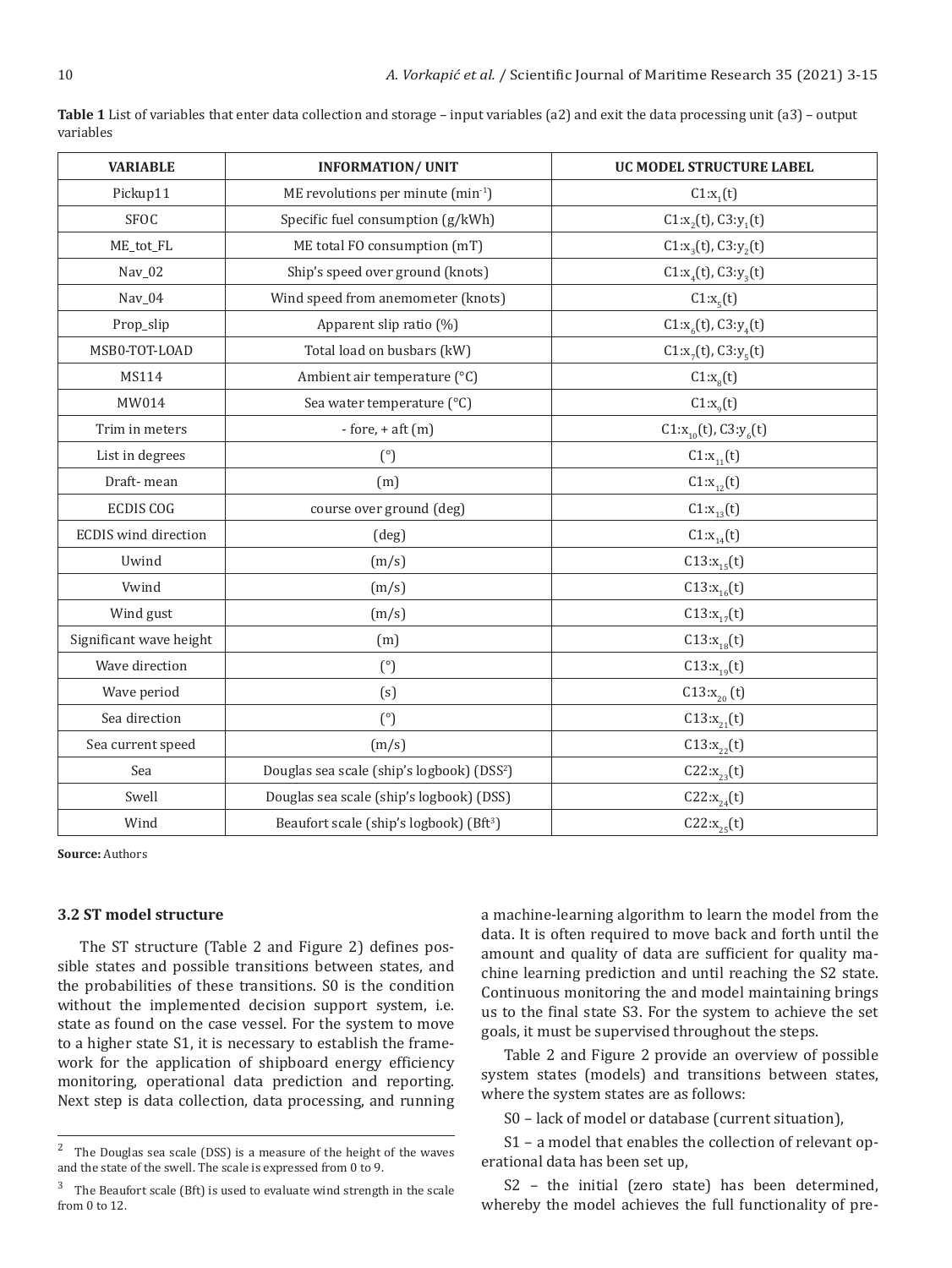| <b>VARIABLE</b>             | <b>INFORMATION/ UNIT</b>                               | UC MODEL STRUCTURE LABEL       |
|-----------------------------|--------------------------------------------------------|--------------------------------|
| Pickup11                    | ME revolutions per minute (min-1)                      | $C1:x_1(t)$                    |
| <b>SFOC</b>                 | Specific fuel consumption (g/kWh)                      | $C1:x_2(t)$ , $C3:y_1(t)$      |
| ME_tot_FL                   | ME total FO consumption (mT)                           | $C1:x_{3}(t)$ , $C3:y_{2}(t)$  |
| Nav_02                      | Ship's speed over ground (knots)                       | $C1:x_{4}(t), C3:y_{3}(t)$     |
| Nav_04                      | Wind speed from anemometer (knots)                     | C1:x <sub>5</sub> (t)          |
| Prop_slip                   | Apparent slip ratio (%)                                | $C1:x_{6}(t)$ , $C3:y_{4}(t)$  |
| MSB0-TOT-LOAD               | Total load on busbars (kW)                             | $C1:x_{7}(t)$ , $C3:y_{5}(t)$  |
| MS114                       | Ambient air temperature (°C)                           | C1:x <sub>8</sub> (t)          |
| MW014                       | Sea water temperature (°C)                             | $C1:x_{q}(t)$                  |
| Trim in meters              | $-$ fore, $+$ aft $(m)$                                | $C1:x_{10}(t)$ , $C3:y_{6}(t)$ |
| List in degrees             | (°)                                                    | $C1:x_{11}(t)$                 |
| Draft-mean                  | (m)                                                    | $C1:x_{12}(t)$                 |
| <b>ECDIS COG</b>            | course over ground (deg)                               | $C1:x_{13}(t)$                 |
| <b>ECDIS</b> wind direction | (deg)                                                  | $C1:x_{14}(t)$                 |
| Uwind                       | (m/s)                                                  | $C13:x_{15}(t)$                |
| Vwind                       | (m/s)                                                  | $C13:x_{16}(t)$                |
| Wind gust                   | (m/s)                                                  | $C13:x_{17}(t)$                |
| Significant wave height     | (m)                                                    | $C13:x_{18}(t)$                |
| Wave direction              | (°)                                                    | $C13:x_{19}(t)$                |
| Wave period                 | (s)                                                    | $C13:x_{20}(t)$                |
| Sea direction               | (°)                                                    | $C13:x_{21}(t)$                |
| Sea current speed           | (m/s)                                                  | $C13:x_{22}(t)$                |
| Sea                         | Douglas sea scale (ship's logbook) (DSS <sup>2</sup> ) | $C22:x_{23}(t)$                |
| Swell                       | Douglas sea scale (ship's logbook) (DSS)               | $C22:x_{24}(t)$                |
| Wind                        | Beaufort scale (ship's logbook) (Bft <sup>3</sup> )    | $C22:x_{25}(t)$                |

**Table 1** List of variables that enter data collection and storage – input variables (a2) and exit the data processing unit (a3) – output variables

**Source:** Authors

#### **3.2 ST model structure**

The ST structure (Table 2 and Figure 2) defines possible states and possible transitions between states, and the probabilities of these transitions. S0 is the condition without the implemented decision support system, i.e. state as found on the case vessel. For the system to move to a higher state S1, it is necessary to establish the framework for the application of shipboard energy efficiency monitoring, operational data prediction and reporting. Next step is data collection, data processing, and running a machine-learning algorithm to learn the model from the data. It is often required to move back and forth until the amount and quality of data are sufficient for quality machine learning prediction and until reaching the S2 state. Continuous monitoring the and model maintaining brings us to the final state S3. For the system to achieve the set goals, it must be supervised throughout the steps.

Table 2 and Figure 2 provide an overview of possible system states (models) and transitions between states, where the system states are as follows:

S0 – lack of model or database (current situation),

S1 – a model that enables the collection of relevant operational data has been set up,

S2 – the initial (zero state) has been determined, whereby the model achieves the full functionality of pre-

<sup>&</sup>lt;sup>2</sup> The Douglas sea scale (DSS) is a measure of the height of the waves and the state of the swell. The scale is expressed from 0 to 9.

<sup>&</sup>lt;sup>3</sup> The Beaufort scale (Bft) is used to evaluate wind strength in the scale from 0 to 12.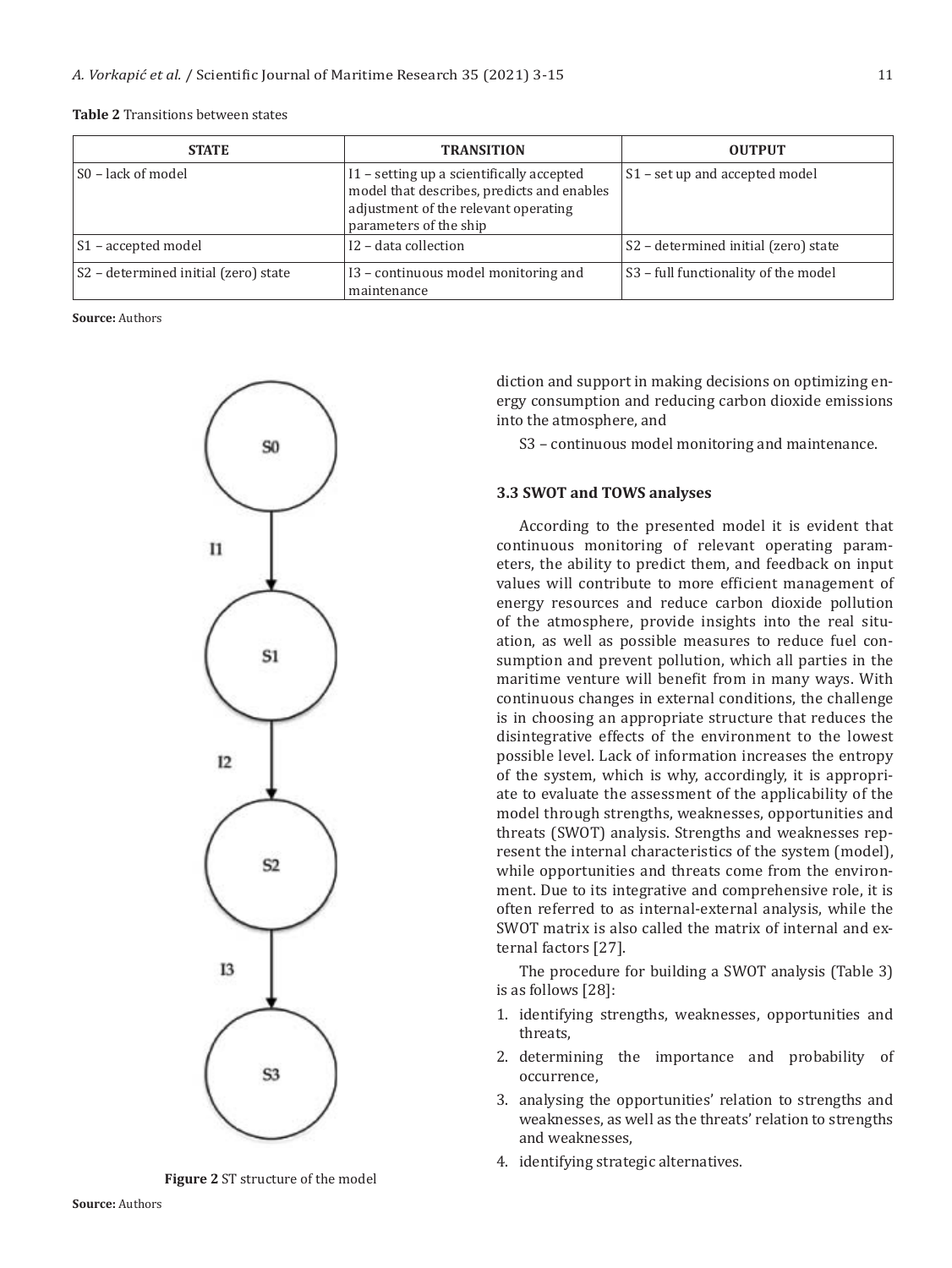| ۰. | I |
|----|---|
|    |   |
|    | ш |

| Table 2 Transitions between states |  |
|------------------------------------|--|
|------------------------------------|--|

| <b>STATE</b>                         | <b>TRANSITION</b>                                                                                                                                         | <b>OUTPUT</b>                                    |
|--------------------------------------|-----------------------------------------------------------------------------------------------------------------------------------------------------------|--------------------------------------------------|
| S0 – lack of model                   | I1 - setting up a scientifically accepted<br>model that describes, predicts and enables<br>adjustment of the relevant operating<br>parameters of the ship | S1 - set up and accepted model                   |
| S1 – accepted model                  | I2 - data collection                                                                                                                                      | S <sub>2</sub> – determined initial (zero) state |
| S2 - determined initial (zero) state | I3 – continuous model monitoring and<br>maintenance                                                                                                       | S <sub>3</sub> – full functionality of the model |

**Source:** Authors



**Figure 2** ST structure of the model

diction and support in making decisions on optimizing energy consumption and reducing carbon dioxide emissions into the atmosphere, and

S3 – continuous model monitoring and maintenance.

#### **3.3 SWOT and TOWS analyses**

According to the presented model it is evident that continuous monitoring of relevant operating parameters, the ability to predict them, and feedback on input values will contribute to more efficient management of energy resources and reduce carbon dioxide pollution of the atmosphere, provide insights into the real situation, as well as possible measures to reduce fuel consumption and prevent pollution, which all parties in the maritime venture will benefit from in many ways. With continuous changes in external conditions, the challenge is in choosing an appropriate structure that reduces the disintegrative effects of the environment to the lowest possible level. Lack of information increases the entropy of the system, which is why, accordingly, it is appropriate to evaluate the assessment of the applicability of the model through strengths, weaknesses, opportunities and threats (SWOT) analysis. Strengths and weaknesses represent the internal characteristics of the system (model), while opportunities and threats come from the environment. Due to its integrative and comprehensive role, it is often referred to as internal-external analysis, while the SWOT matrix is also called the matrix of internal and external factors [27].

The procedure for building a SWOT analysis (Table 3) is as follows [28]:

- 1. identifying strengths, weaknesses, opportunities and threats,
- 2. determining the importance and probability of occurrence,
- 3. analysing the opportunities' relation to strengths and weaknesses, as well as the threats' relation to strengths and weaknesses,
- 4. identifying strategic alternatives.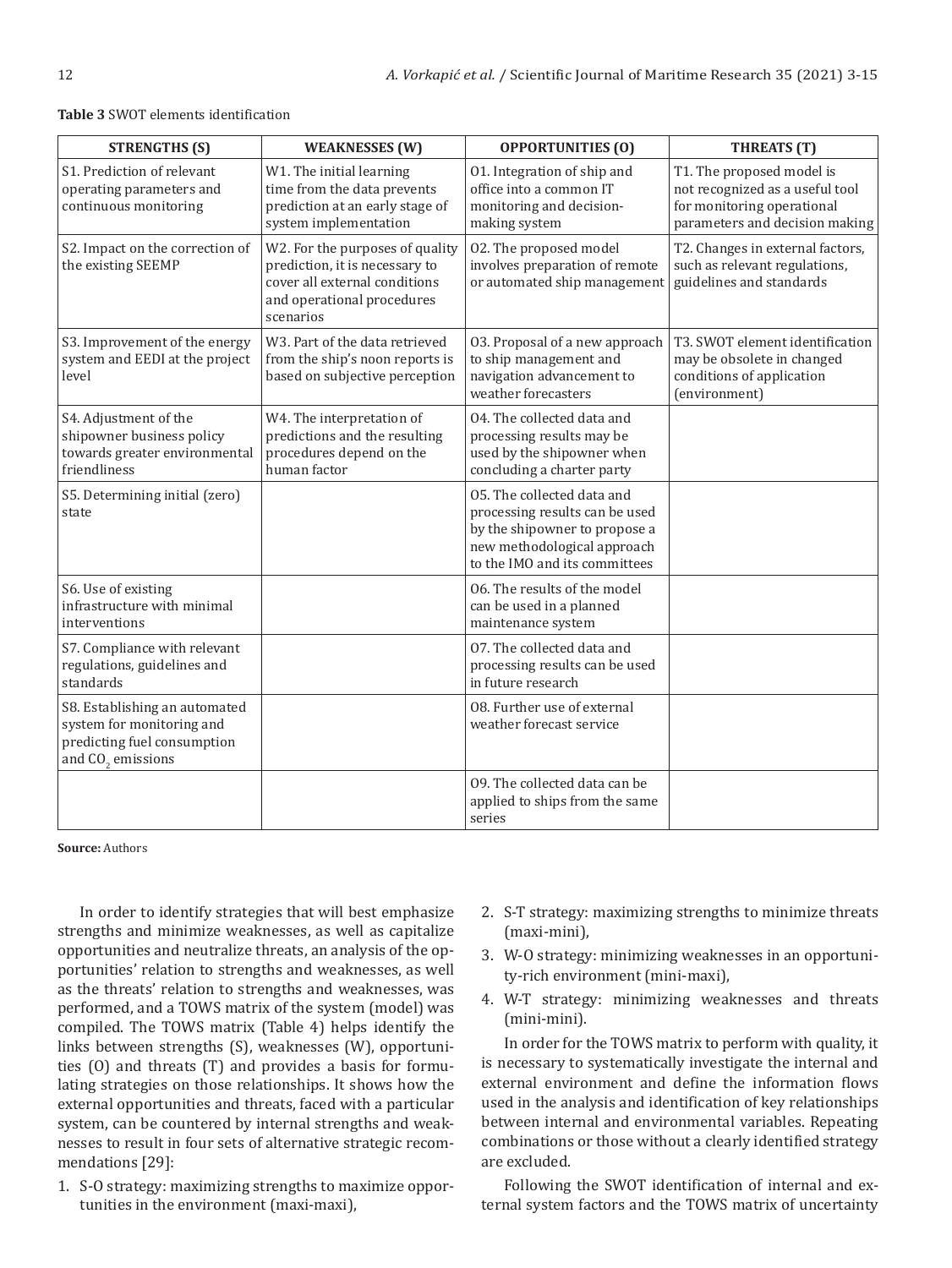| <b>STRENGTHS (S)</b>                                                                                             | <b>WEAKNESSES (W)</b>                                                                                                                         | <b>OPPORTUNITIES (O)</b>                                                                                                                                      | <b>THREATS</b> (T)                                                                                                           |
|------------------------------------------------------------------------------------------------------------------|-----------------------------------------------------------------------------------------------------------------------------------------------|---------------------------------------------------------------------------------------------------------------------------------------------------------------|------------------------------------------------------------------------------------------------------------------------------|
| S1. Prediction of relevant<br>operating parameters and<br>continuous monitoring                                  | W1. The initial learning<br>time from the data prevents<br>prediction at an early stage of<br>system implementation                           | 01. Integration of ship and<br>office into a common IT<br>monitoring and decision-<br>making system                                                           | T1. The proposed model is<br>not recognized as a useful tool<br>for monitoring operational<br>parameters and decision making |
| S2. Impact on the correction of<br>the existing SEEMP                                                            | W2. For the purposes of quality<br>prediction, it is necessary to<br>cover all external conditions<br>and operational procedures<br>scenarios | 02. The proposed model<br>involves preparation of remote<br>or automated ship management                                                                      | T2. Changes in external factors,<br>such as relevant regulations,<br>guidelines and standards                                |
| S3. Improvement of the energy<br>system and EEDI at the project<br>level                                         | W3. Part of the data retrieved<br>from the ship's noon reports is<br>based on subjective perception                                           | 03. Proposal of a new approach<br>to ship management and<br>navigation advancement to<br>weather forecasters                                                  | T3. SWOT element identification<br>may be obsolete in changed<br>conditions of application<br>(environment)                  |
| S4. Adjustment of the<br>shipowner business policy<br>towards greater environmental<br>friendliness              | W4. The interpretation of<br>predictions and the resulting<br>procedures depend on the<br>human factor                                        | 04. The collected data and<br>processing results may be<br>used by the shipowner when<br>concluding a charter party                                           |                                                                                                                              |
| S5. Determining initial (zero)<br>state                                                                          |                                                                                                                                               | 05. The collected data and<br>processing results can be used<br>by the shipowner to propose a<br>new methodological approach<br>to the IMO and its committees |                                                                                                                              |
| S6. Use of existing<br>infrastructure with minimal<br>interventions                                              |                                                                                                                                               | 06. The results of the model<br>can be used in a planned<br>maintenance system                                                                                |                                                                                                                              |
| S7. Compliance with relevant<br>regulations, guidelines and<br>standards                                         |                                                                                                                                               | 07. The collected data and<br>processing results can be used<br>in future research                                                                            |                                                                                                                              |
| S8. Establishing an automated<br>system for monitoring and<br>predicting fuel consumption<br>and $CO2$ emissions |                                                                                                                                               | 08. Further use of external<br>weather forecast service                                                                                                       |                                                                                                                              |
|                                                                                                                  |                                                                                                                                               | 09. The collected data can be<br>applied to ships from the same<br>series                                                                                     |                                                                                                                              |

#### **Table 3** SWOT elements identification

**Source:** Authors

In order to identify strategies that will best emphasize strengths and minimize weaknesses, as well as capitalize opportunities and neutralize threats, an analysis of the opportunities' relation to strengths and weaknesses, as well as the threats' relation to strengths and weaknesses, was performed, and a TOWS matrix of the system (model) was compiled. The TOWS matrix (Table 4) helps identify the links between strengths (S), weaknesses (W), opportunities (O) and threats (T) and provides a basis for formulating strategies on those relationships. It shows how the external opportunities and threats, faced with a particular system, can be countered by internal strengths and weaknesses to result in four sets of alternative strategic recommendations [29]:

1. S-O strategy: maximizing strengths to maximize opportunities in the environment (maxi-maxi),

- 2. S-T strategy: maximizing strengths to minimize threats (maxi-mini),
- 3. W-O strategy: minimizing weaknesses in an opportunity-rich environment (mini-maxi),
- 4. W-T strategy: minimizing weaknesses and threats (mini-mini).

In order for the TOWS matrix to perform with quality, it is necessary to systematically investigate the internal and external environment and define the information flows used in the analysis and identification of key relationships between internal and environmental variables. Repeating combinations or those without a clearly identified strategy are excluded.

Following the SWOT identification of internal and external system factors and the TOWS matrix of uncertainty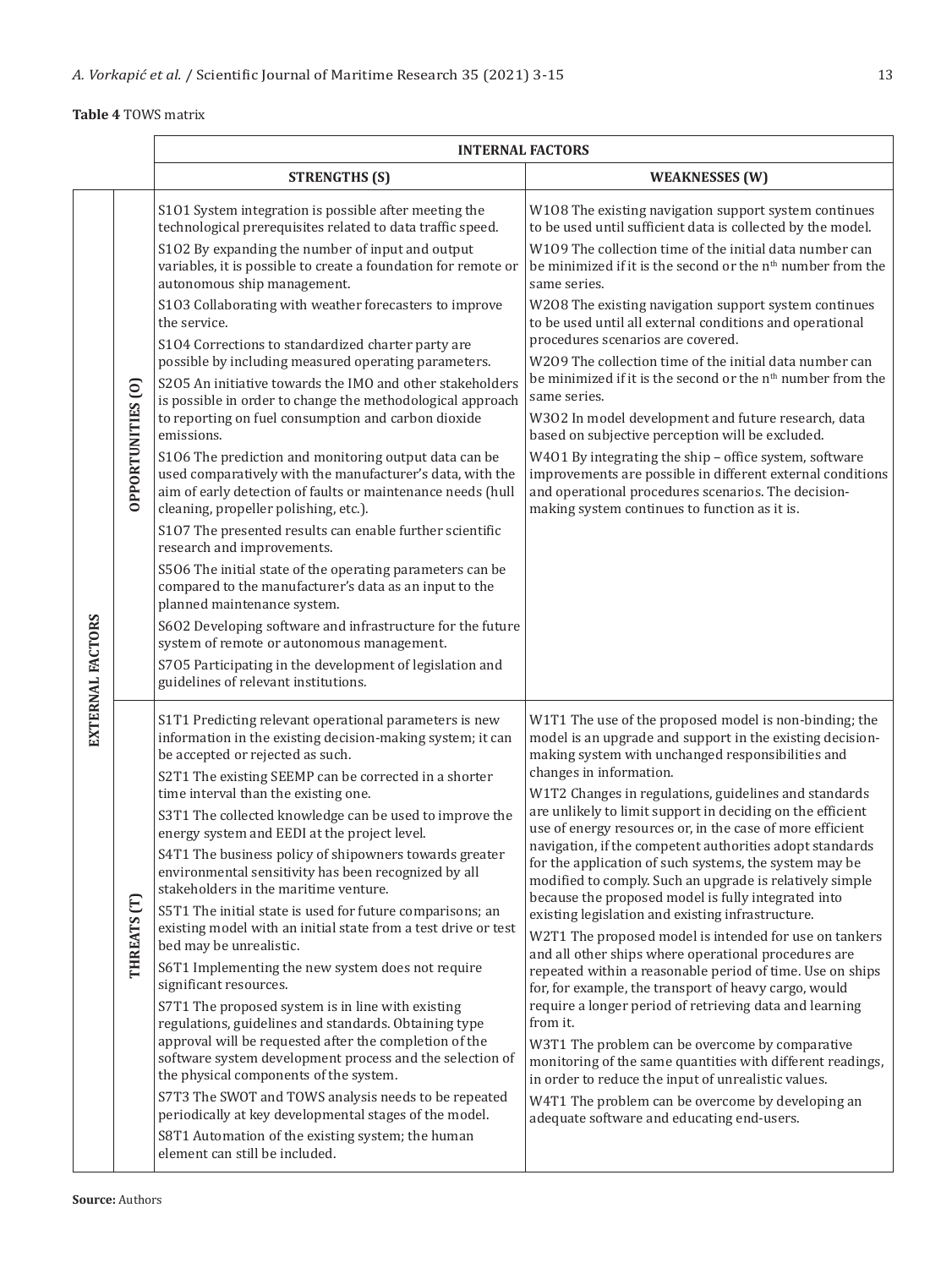#### **Table 4** TOWS matrix

|                                                  |  | <b>INTERNAL FACTORS</b>                                                                                                                                                                                                                              |                                                                                                                                                                                                                              |  |
|--------------------------------------------------|--|------------------------------------------------------------------------------------------------------------------------------------------------------------------------------------------------------------------------------------------------------|------------------------------------------------------------------------------------------------------------------------------------------------------------------------------------------------------------------------------|--|
|                                                  |  | <b>STRENGTHS (S)</b>                                                                                                                                                                                                                                 | <b>WEAKNESSES (W)</b>                                                                                                                                                                                                        |  |
| OPPORTUNITIES <sub>(O)</sub><br>EXTERNAL FACTORS |  | S101 System integration is possible after meeting the<br>technological prerequisites related to data traffic speed.<br>S102 By expanding the number of input and output                                                                              | W108 The existing navigation support system continues<br>to be used until sufficient data is collected by the model.<br>W109 The collection time of the initial data number can                                              |  |
|                                                  |  | variables, it is possible to create a foundation for remote or<br>autonomous ship management.                                                                                                                                                        | be minimized if it is the second or the n <sup>th</sup> number from the<br>same series.                                                                                                                                      |  |
|                                                  |  | S103 Collaborating with weather forecasters to improve<br>the service.<br>S104 Corrections to standardized charter party are                                                                                                                         | W208 The existing navigation support system continues<br>to be used until all external conditions and operational<br>procedures scenarios are covered.                                                                       |  |
|                                                  |  | possible by including measured operating parameters.<br>S205 An initiative towards the IMO and other stakeholders<br>is possible in order to change the methodological approach<br>to reporting on fuel consumption and carbon dioxide<br>emissions. | W209 The collection time of the initial data number can<br>be minimized if it is the second or the n <sup>th</sup> number from the<br>same series.                                                                           |  |
|                                                  |  |                                                                                                                                                                                                                                                      | W302 In model development and future research, data<br>based on subjective perception will be excluded.                                                                                                                      |  |
|                                                  |  | S106 The prediction and monitoring output data can be<br>used comparatively with the manufacturer's data, with the<br>aim of early detection of faults or maintenance needs (hull<br>cleaning, propeller polishing, etc.).                           | W401 By integrating the ship - office system, software<br>improvements are possible in different external conditions<br>and operational procedures scenarios. The decision-<br>making system continues to function as it is. |  |
|                                                  |  | S107 The presented results can enable further scientific<br>research and improvements.                                                                                                                                                               |                                                                                                                                                                                                                              |  |
|                                                  |  | S506 The initial state of the operating parameters can be<br>compared to the manufacturer's data as an input to the<br>planned maintenance system.                                                                                                   |                                                                                                                                                                                                                              |  |
|                                                  |  | S602 Developing software and infrastructure for the future<br>system of remote or autonomous management.                                                                                                                                             |                                                                                                                                                                                                                              |  |
|                                                  |  | S705 Participating in the development of legislation and<br>guidelines of relevant institutions.                                                                                                                                                     |                                                                                                                                                                                                                              |  |
|                                                  |  | S1T1 Predicting relevant operational parameters is new<br>information in the existing decision-making system; it can<br>be accepted or rejected as such.                                                                                             | W1T1 The use of the proposed model is non-binding; the<br>model is an upgrade and support in the existing decision-<br>making system with unchanged responsibilities and<br>changes in information.                          |  |
|                                                  |  | S2T1 The existing SEEMP can be corrected in a shorter<br>time interval than the existing one.                                                                                                                                                        | W1T2 Changes in regulations, guidelines and standards                                                                                                                                                                        |  |
|                                                  |  | S3T1 The collected knowledge can be used to improve the<br>energy system and EEDI at the project level.                                                                                                                                              | are unlikely to limit support in deciding on the efficient<br>use of energy resources or, in the case of more efficient                                                                                                      |  |
| THREATS <sub>(T)</sub>                           |  | S4T1 The business policy of shipowners towards greater<br>environmental sensitivity has been recognized by all<br>stakeholders in the maritime venture.                                                                                              | navigation, if the competent authorities adopt standards<br>for the application of such systems, the system may be<br>modified to comply. Such an upgrade is relatively simple                                               |  |
|                                                  |  | S5T1 The initial state is used for future comparisons; an<br>existing model with an initial state from a test drive or test<br>bed may be unrealistic.                                                                                               | because the proposed model is fully integrated into<br>existing legislation and existing infrastructure.<br>W2T1 The proposed model is intended for use on tankers                                                           |  |
|                                                  |  | S6T1 Implementing the new system does not require<br>significant resources.                                                                                                                                                                          | and all other ships where operational procedures are<br>repeated within a reasonable period of time. Use on ships<br>for, for example, the transport of heavy cargo, would                                                   |  |
|                                                  |  | S7T1 The proposed system is in line with existing<br>regulations, guidelines and standards. Obtaining type<br>approval will be requested after the completion of the<br>software system development process and the selection of                     | require a longer period of retrieving data and learning<br>from it.<br>W3T1 The problem can be overcome by comparative                                                                                                       |  |
|                                                  |  | the physical components of the system.                                                                                                                                                                                                               | monitoring of the same quantities with different readings,<br>in order to reduce the input of unrealistic values.                                                                                                            |  |
|                                                  |  | S7T3 The SWOT and TOWS analysis needs to be repeated<br>periodically at key developmental stages of the model.<br>S8T1 Automation of the existing system; the human                                                                                  | W4T1 The problem can be overcome by developing an<br>adequate software and educating end-users.                                                                                                                              |  |
|                                                  |  | element can still be included.                                                                                                                                                                                                                       |                                                                                                                                                                                                                              |  |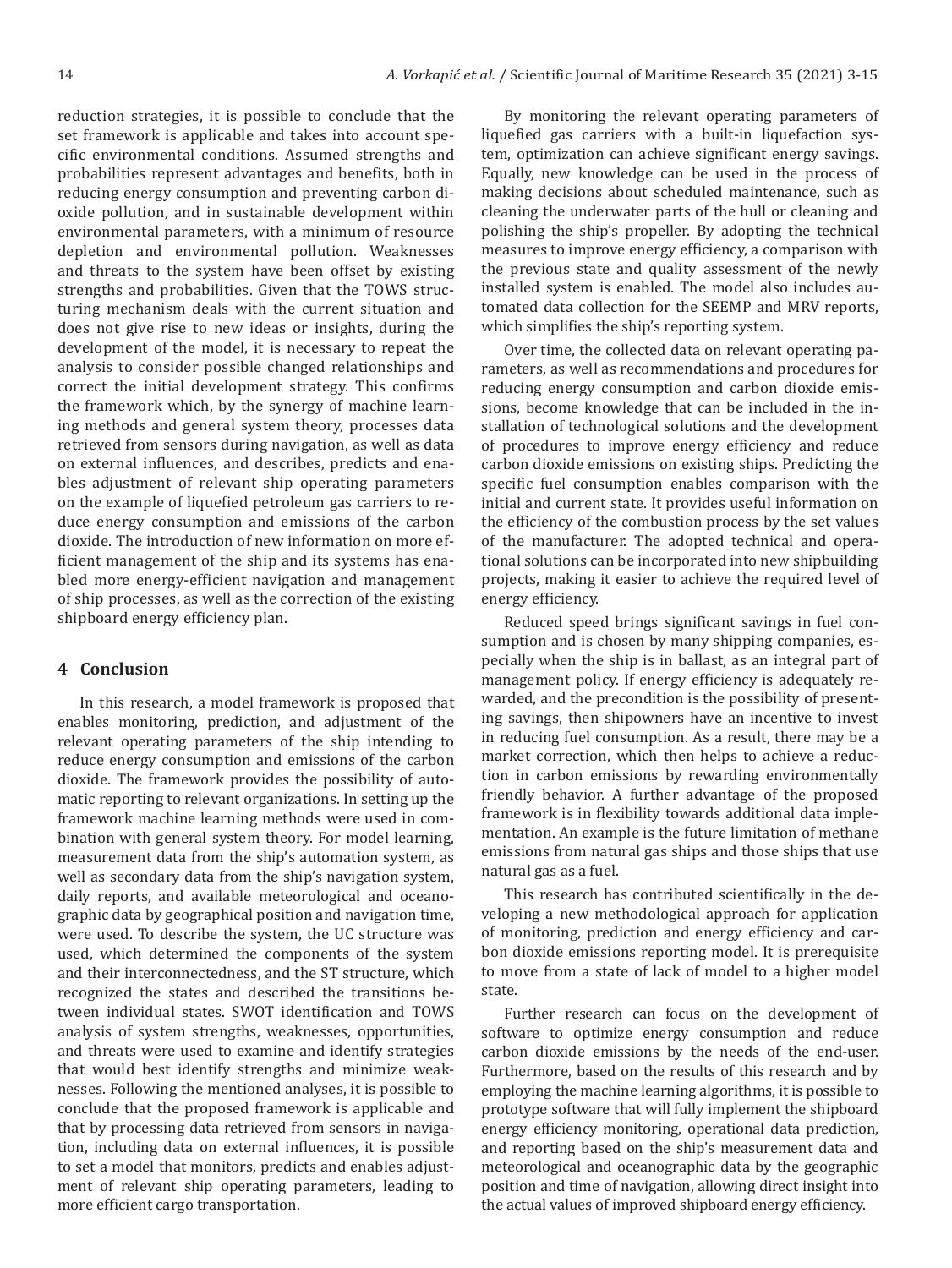reduction strategies, it is possible to conclude that the set framework is applicable and takes into account specific environmental conditions. Assumed strengths and probabilities represent advantages and benefits, both in reducing energy consumption and preventing carbon dioxide pollution, and in sustainable development within environmental parameters, with a minimum of resource depletion and environmental pollution. Weaknesses and threats to the system have been offset by existing strengths and probabilities. Given that the TOWS structuring mechanism deals with the current situation and does not give rise to new ideas or insights, during the development of the model, it is necessary to repeat the analysis to consider possible changed relationships and correct the initial development strategy. This confirms the framework which, by the synergy of machine learning methods and general system theory, processes data retrieved from sensors during navigation, as well as data on external influences, and describes, predicts and enables adjustment of relevant ship operating parameters on the example of liquefied petroleum gas carriers to reduce energy consumption and emissions of the carbon dioxide. The introduction of new information on more efficient management of the ship and its systems has enabled more energy-efficient navigation and management of ship processes, as well as the correction of the existing shipboard energy efficiency plan.

#### **4 Conclusion**

In this research, a model framework is proposed that enables monitoring, prediction, and adjustment of the relevant operating parameters of the ship intending to reduce energy consumption and emissions of the carbon dioxide. The framework provides the possibility of automatic reporting to relevant organizations. In setting up the framework machine learning methods were used in combination with general system theory. For model learning, measurement data from the ship's automation system, as well as secondary data from the ship's navigation system, daily reports, and available meteorological and oceanographic data by geographical position and navigation time, were used. To describe the system, the UC structure was used, which determined the components of the system and their interconnectedness, and the ST structure, which recognized the states and described the transitions between individual states. SWOT identification and TOWS analysis of system strengths, weaknesses, opportunities, and threats were used to examine and identify strategies that would best identify strengths and minimize weaknesses. Following the mentioned analyses, it is possible to conclude that the proposed framework is applicable and that by processing data retrieved from sensors in navigation, including data on external influences, it is possible to set a model that monitors, predicts and enables adjustment of relevant ship operating parameters, leading to more efficient cargo transportation.

By monitoring the relevant operating parameters of liquefied gas carriers with a built-in liquefaction system, optimization can achieve significant energy savings. Equally, new knowledge can be used in the process of making decisions about scheduled maintenance, such as cleaning the underwater parts of the hull or cleaning and polishing the ship's propeller. By adopting the technical measures to improve energy efficiency, a comparison with the previous state and quality assessment of the newly installed system is enabled. The model also includes automated data collection for the SEEMP and MRV reports, which simplifies the ship's reporting system.

Over time, the collected data on relevant operating parameters, as well as recommendations and procedures for reducing energy consumption and carbon dioxide emissions, become knowledge that can be included in the installation of technological solutions and the development of procedures to improve energy efficiency and reduce carbon dioxide emissions on existing ships. Predicting the specific fuel consumption enables comparison with the initial and current state. It provides useful information on the efficiency of the combustion process by the set values of the manufacturer. The adopted technical and operational solutions can be incorporated into new shipbuilding projects, making it easier to achieve the required level of energy efficiency.

Reduced speed brings significant savings in fuel consumption and is chosen by many shipping companies, especially when the ship is in ballast, as an integral part of management policy. If energy efficiency is adequately rewarded, and the precondition is the possibility of presenting savings, then shipowners have an incentive to invest in reducing fuel consumption. As a result, there may be a market correction, which then helps to achieve a reduction in carbon emissions by rewarding environmentally friendly behavior. A further advantage of the proposed framework is in flexibility towards additional data implementation. An example is the future limitation of methane emissions from natural gas ships and those ships that use natural gas as a fuel.

This research has contributed scientifically in the developing a new methodological approach for application of monitoring, prediction and energy efficiency and carbon dioxide emissions reporting model. It is prerequisite to move from a state of lack of model to a higher model state.

Further research can focus on the development of software to optimize energy consumption and reduce carbon dioxide emissions by the needs of the end-user. Furthermore, based on the results of this research and by employing the machine learning algorithms, it is possible to prototype software that will fully implement the shipboard energy efficiency monitoring, operational data prediction, and reporting based on the ship's measurement data and meteorological and oceanographic data by the geographic position and time of navigation, allowing direct insight into the actual values of improved shipboard energy efficiency.